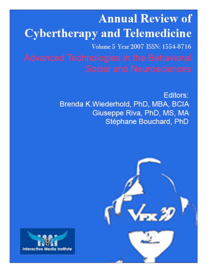# **Annual Review of Cybertherapy and Telemedicine** Volume 5 Year 2007 ISSN: 1554-8716

Editors: Brenda K.Wiederhold, PhD, MBA, BCIA Giuseppe Riva, PhD, MS, MA Stéphane Bouchard, PhD



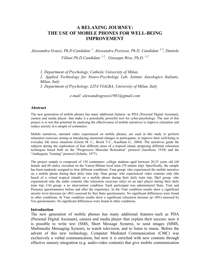# A RELAXING JOURNEY: THE USE OF MOBILE PHONES FOR WELL-BEING IMPROVEMENT

Alessandra Grassi, Ph.D Candidate<sup>1</sup>, Alessandra Preziosa, Ph.D. Candidate<sup>2-3</sup>, Daniela Villani Ph.D Candidate  $^{1-2}$ , Giuseppe Riva, Ph.D.  $^{1-2}$ 

1. Department of Psychology, Catholic University of Milan,

2. Applied Technology for Neuro-Psychology Lab, Istituto Auxologico Italiano, Milan, Italy

3. Department of Psychology, LITA VIALBA, University of Milan, Italy

e-mail: alessandragrassi1981@gmail.com

#### Abstract

The new generation of mobile phones has many additional features -as PDA (Personal Digital Assistant), camera and media player- that make it a potentially powerful tool for cyber-psychology. The aim of this project is to test this potential by analysing the effectiveness of mobile narratives to improve relaxation and reduce anxiety in a sample of commuters.

Mobile narratives, narrated video experienced on mobile phones, are used in this study to perform relaxation exercises aiming at introducing emotional changes in participants, to improve their well-being in everyday life stress situations (Green M. C., Brock T.C., Kaufman G., 2004). The narratives guide the subjects during the exploration of four different areas of a tropical island, proposing different relaxation techniques based both on the "Progressive Muscular Relaxation" protocol (Jacobson, 1938) and the "Authogenic Training" protocol (Schultz, 1977).

The project sample is composed of 120 commuters: college students aged between 20-25 years old (60 female and 60 male), recruited on the Varese-Milano local train (70 minute trip). Specifically, the sample has been randomly assigned to four different conditions: Vnar group: who experienced the mobile narrative on a mobile phone during their daily train trip; Nnar group: who experienced video contents only (the beach of a virtual tropical island) on a mobile phone during their daily train trip; Mp3 group: who experienced only the audio contents (the relaxation exercises only) on an mp3 player during their daily train trip; Ctrl group: a no intervention condition. Each participant was administered State, Trait and Presence questionnaires before and after the experience. In the Vnar condition results show a significant anxiety level decrease ( $p<001$ ) assessed by Stai State questionnaire. No significant differences were found in other conditions. In Vnar condition results show a significant relaxation increase ( $p<001$ ) assessed by Vas questionnaire. No significant differences were found in other conditions.

#### Introduction

The new generation of mobile phones has many additional features–such as PDA (Personal Digital Assistant), camera and media player–that explain their success: now it is possible to write text (SMS, Short Message System), to send images (MMS, Multimedia Messaging System), to watch television, and to listen to music. Before the advent of this new technology, Computer Mediated Communication (CMC) was exclusively a verbal communication, but now it is enriched with new contents through effective sensory integration (e.g. audio-video contents) that give mobile communication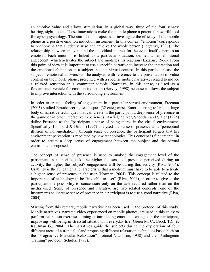an emotive value and allows stimulation, in a global way, three of the four senses: hearing, sight, touch. These innovations make the mobile phone a potential powerful tool for cyber-psychology. The aim of this project is to investigate the efficacy of the mobile phone as a positive emotion induction instrument. In this context "emotion" corresponds to phenomena that suddenly arise and involve the whole person (Legrenzi, 1997). The relationship between an event and the individual interest for the event itself generates an emotion. Each emotion is linked to a particular situation, defined as an emotional antecedent, which activates the subject and modifies his reaction (Lazarus, 1966). From this point of view it is important to use a specific narrative to increase the interaction and the emotional elicitation in a subject inside a virtual context. In this particular case the subjects' emotional answers will be analysed with reference to the presentation of video content on the mobile phone, presented with a specific mobile narrative, created to induce a relaxed sensation in a commuter sample. Narrative, in this sense, is used as a fundamental vehicle for emotion induction (Harvey, 1998) because it allows the subject to improve interaction with the surrounding environment.

In order to create a feeling of engagement in a particular virtual environment, Freeman (2003) studied Emotioneering techniques (32 categories). Emotioneering refers to a large body of narrative techniques that can create in the participant a deep sense of presence in the game or in other interactive experiences. Barfiel, Zeltzer, Sheridan and Slater (1995) define Presence as the "participant's sense of being there" in the virtual environment. Specifically, Lombard & Ditton (1997) analysed the sense of presence as a "perceptual illusion of non-mediation": through sense of presence, the participant forgets that his environment perception is mediated by new technologies. This concept is fundamental in order to create a deep sense of engagement between the subject and the virtual environment proposed.

The concept of sense of presence is used to analyse the engagement level of the participant in a specific task: the higher the sense of presence perceived during an activity, the higher the subject's engagement will be during this activity (Riva, 2004). Usability is the fundamental characteristic that a medium must have to be able to activate a higher sense of presence in the user (Norman, 2004). This concept is related to the importance of technology to be "invisible to user" (Riva, 2004), in order to give to the participant the possibility to concentrate only on the task required rather than on the media used. Sense of presence and narrative are two related concepts: one of the instruments to increase sense of presence in a participant is to use a good narrative (Riva, 2004).

Starting from this remark, mobile narrative has been used in the protocol of this study. Mobile narratives, narrated video experienced on mobile phones, are used in this study to perform relaxation exercises aiming at introducing emotional changes in the participant, improving well-being in stressful situations in everyday life (Green M. C., Brock T.C. & Kaufman G., 2004). The narratives guide the subjects during the exploration of four different areas of a tropical island proposing different relaxation techniques based both on the "Progressive Muscular Relaxation" protocol (Jacobson, 1938) and the "Authogenic Training" protocol (Schultz, 1977).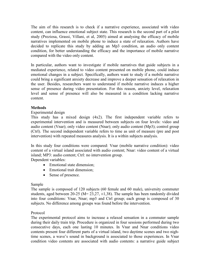The aim of this research is to check if a narrative experience, associated with video content, can influence emotional subject state. This research is the second part of a pilot study (Preziosa, Grassi, Villani, et al, 2005) aimed at analysing the efficacy of mobile narratives implemented on mobile phone to induce a state of relaxation. Authors have decided to replicate this study by adding an Mp3 condition, an audio only content condition, for better understanding the efficacy and the importance of mobile narrative compared with the video only content.

In particular, authors want to investigate if mobile narratives that guide subjects in a mediated experience, related to video content presented on mobile phone, could induce emotional changes in a subject. Specifically, authors want to study if a mobile narrative could bring a significant anxiety decrease and improve a deeper sensation of relaxation in the user. Besides, researchers want to understand if mobile narrative induces a higher sense of presence during video presentation. For this reason, anxiety level, relaxation level and sense of presence will also be measured in a condition lacking narrative content.

# **Methods**

## Experimental design

This study has a mixed design (4x2). The first independent variable refers to experimental intervention and is measured between subjects on four levels: video and audio content (Vnar); only video content (Nnar); only audio content (Mp3); control group (Ctrl). The second independent variable refers to time as unit of measure (pre and post intervention) with repeated measures analysis. It is a within subjects analysis.

In this study four conditions were compared: Vnar (mobile narrative condition): video content of a virtual island associated with audio content; Nnar: video content of a virtual island; MP3: audio content; Ctrl: no intervention group.

Dependent variables:

- Emotional state dimension:
- Emotional trait dimension;
- Sense of presence.

## Sample

The sample is composed of 120 subjects (60 female and 60 male), university commuter students, aged between 20-25 ( $M = 23,27, \pm 1,38$ ). The sample has been randomly divided into four conditions: Vnar, Nnar; mp3 and Ctrl group; each group is composed of 30 subjects. No difference among groups was found before the intervention.

## Protocol

The experimental protocol aims to increase a relaxed sensation in a commuter sample during their daily train trip. Procedure is organized in four sessions performed during two consecutive days, each one lasting 10 minutes. In Vnar and Nnar conditions video contents present four different parts of a virtual island, two daytime scenes and two nightime scenes, a wave's sound in background is associated to those experiences. In Vnar condition video contents are associated with audio contents: a narrative guide subject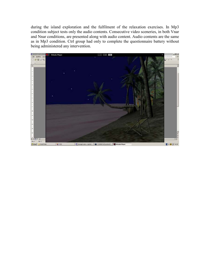during the island exploration and the fulfilment of the relaxation exercises. In Mp3 condition subject tests only the audio contents. Consecutive video sceneries, in both Vnar and Nnar conditions, are presented along with audio content. Audio contents are the same as in Mp3 condition. Ctrl group had only to complete the questionnaire battery without being administered any intervention.

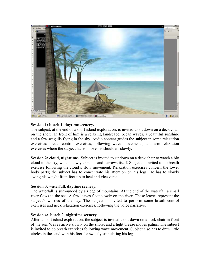

#### Session 1: beach 1, daytime scenery.

The subject, at the end of a short island exploration, is invited to sit down on a deck chair on the shore. In front of him is a relaxing landscape: ocean waves, a beautiful sunshine and a few seagulls flying in the sky. Audio content guides the subject in some relaxation exercises: breath control exercises, following wave movements, and arm relaxation exercises where the subject has to move his shoulders slowly.

Session 2: cloud, nighttime. Subject is invited to sit down on a deck chair to watch a big cloud in the sky, which slowly expands and narrows itself. Subject is invited to do breath exercise following the cloud's slow movement. Relaxation exercises concern the lower body parts; the subject has to concentrate his attention on his legs. He has to slowly swing his weight from foot tip to heel and vice versa.

#### Session 3: waterfall, daytime scenery.

The waterfall is surrounded by a ridge of mountains. At the end of the waterfall a small river flows to the sea. A few leaves float slowly on the river. Those leaves represent the subject's worries of the day. The subject is invited to perform some breath control exercises and neck relaxation exercises, following the voice narrative.

#### Session 4: beach 2, nighttime scenery.

After a short island exploration, the subject is invited to sit down on a deck chair in front of the sea. Waves arrive slowly on the shore, and a light breeze moves palms. The subject is invited to do breath exercises following wave movement. Subject also has to draw little circles in the sand with his foot for sweetly stimulating his legs.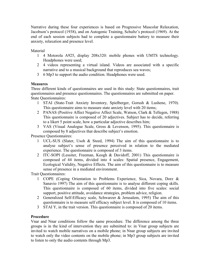Narrative during these four experiences is based on Progressive Muscolar Relaxation, Jacobson's protocol (1938), and on Autogenic Training, Schultz's protocol (1969). At the end of each session subjects had to complete a questionnaire battery to measure their anxiety, relaxation and presence level.

Material

- 1 4 Motorola A925, display 208x320: mobile phones with UMTS technology. Headphones were used;
- 2 4 videos representing a virtual island. Videos are associated with a specific narrative and to a musical background that reproduces sea waves;
- 3 6 Mp3 to support the audio condition. Headphones were used.

# **Measures**

Three different kinds of questionnaires are used in this study: State questionnaires, trait questionnaires and presence questionnaires. The questionnaires are submitted on paper. State Questionnaires:

- 1 STAI (State-Trait Anxiety Inventory, Spielberger, Gorush & Lushene, 1970). This questionnaire aims to measure state anxiety level with 20 items;
- 2 PANAS (Positive Affect Negative Affect Scale, Watson, Clark & Tellegen, 1988) This questionnaire is composed of 20 adjectives. Subject has to decide, referring to a likert 5 point scale, how a particular adjective describes him;
- 3 VAS (Visual Analogue Scale, Gross & Levenson, 1995). This questionnaire is composed by 8 adjectives that describe subject's emotion.

Presence Questionnaires:

- 1 UCL-SUS (Slater, Usoh & Steed, 1994) The aim of this questionnaire is to analyse subject's sense of presence perceived in relation to the mediated experience. The questionnaire is composed of 3 items.
- 2 ITC-SOPI (Lessiter, Freeman, Keogh & Davidoff, 2001) This questionnaire is composed of 44 items, divided into 4 scales: Spatial presence, Engagement, Ecological Validity, Negative Effects. The aim of this questionnaire is to measure sense of presence in a mediated environment.

Trait Questionnaires:

- 1 COPE (Coping Orientation to Problems Experience, Sica, Novara, Dorz & Sanavio 1997) The aim of this questionnaire is to analyse different coping skills. This questionnaire is composed of 60 items, divided into five scales: social support, positive attitude, avoidance strategies, problem advice, religion.
- 2 Generalized Self-Efficacy scale, Schwarzer & Jerusalem, 1995) The aim of this questionnaire is to measure self efficacy subject level. It is composed of 10 items.
- 3 STAI Y, in the trait version. This questionnaire is composed of 20 items.

## Procedure

Vnar and Nnar conditions follow the same procedure. The difference among the three groups is in the kind of intervention they are submitted to: in Vnar group subjects are invited to watch mobile narratives on a mobile phone; in Nnar group subjects are invited to watch only the video contents on the mobile phone; in Mp3 group subjects are invited to listen to only the audio contents through Mp3.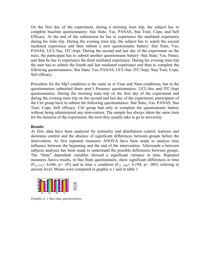On the first day of the experiment, during a morning train trip, the subject has to complete baseline questionnaires: Stai State, Vas, PANAS, Stai Trait, Cope, and Self Efficacy. At the end of the submission he has to experience the mediated experience during his train trip. During the evening train trip, the subject has to watch the second mediated experience and then submit a new questionnaire battery: Stai State, Vas, PANAS, UCL-Sus, ITC-Sopi. During the second and last day of the experiment on the train, the participant has to submit another questionnaire battery: Stai State, Vas, Panas; and then he has to experience the third mediated experience. During his evening train trip the user has to submit the fourth and last mediated experience and then to complete the following questionnaires: Stai State, Vas, PANAS, UCL-Sus, ITC-Sopi, Stay Trait, Cope, Self efficacy.

Procedure for the Mp3 condition is the same as in Vnar and Nnar conditions, but in the questionnaires submitted there aren't Presence questionnaires: UCL-Sus and ITC-Sopi questionnaires. During the morning train trip on the first day of the experiment and during the evening train trip on the second and last day of the experiment, participants of the Ctrl group have to submit the following questionnaires: Stai State, Vas, PANAS, Stai Trait, Cope, Self efficacy. Ctrl group had only to complete the questionnaire battery without being administered any intervention. The sample has always taken the same train for the duration of the experiment, the train they usually take to go to university.

#### **Results**

At first, data have been analyzed for normality and distribution control, kurtosis and skewness control and the absence of significant differences between groups before the intervention. At first repeated measures ANOVA have been made to analyze time influence between the beginning and the end of the intervention. Afterwards a between subjects analyses has been made to understand the possible differences between groups. The "State" dependent variables showed a significant variance in time. Repeated measures Anova results, in Stai State questionnaire, show significant differences in time  $(F_{(3,114)}= 4,646, p< .05)$  and in time x condition  $(F_{(3, 348)}= 6,194, p< .005)$  referring to anxiety level. Means were compared in graphic n.1 and in table 1.



Graphic n. 1 Stai state questionnaire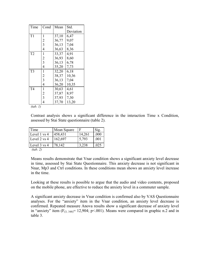| Time           | Cond           | Mean  | Std.      |
|----------------|----------------|-------|-----------|
|                |                |       | Deviation |
| T1             | 1              | 37,10 | 6,47      |
|                | $\frac{2}{3}$  | 36,77 | 9,07      |
|                |                | 36,13 | 7,04      |
|                | $\overline{4}$ | 36,63 | 8,36      |
| T <sub>2</sub> | $\mathbf{1}$   | 33,37 | 4,91      |
|                | $\frac{2}{3}$  | 36,93 | 8,60      |
|                |                | 36,13 | 6,78      |
|                | $\overline{4}$ | 35,20 | 7,73      |
| T <sub>3</sub> | $\mathbf{1}$   | 32,20 | 6,18      |
|                | $\frac{2}{3}$  | 38,37 | 10,36     |
|                |                | 36,13 | 7,04      |
|                | $\overline{4}$ | 36,20 | 10,35     |
| T <sub>4</sub> | $\mathbf{1}$   | 30,63 | 4,61      |
|                | $\frac{2}{3}$  | 37,87 | 8,97      |
|                |                | 37,93 | 7,30      |
|                | $\overline{4}$ | 37,70 | 13,20     |

 $(tab. 1)$ 

Contrast analysis shows a significant difference in the interaction Time x Condition, assessed by Stai State questionnaire (table 2).

| Time          | Mean Square | F      | Sig. |
|---------------|-------------|--------|------|
| Level 1 vs 4  | 458,431     | 14,261 | .000 |
| Level 2 vs 4  | 162,697     | 5,793  | .001 |
| Level 3 vs 4  | 78,142      | 3,238  | .025 |
| $(4 - 1 - 2)$ |             |        |      |

(tab. 2)

Means results demonstrate that Vnar condition shows a significant anxiety level decrease in time, assessed by Stai State Questionnaire. This anxiety decrease is not significant in Nnar, Mp3 and Ctrl conditions. In these conditions mean shows an anxiety level increase in the time.

Looking at these results is possible to argue that the audio and video contents, proposed on the mobile phone, are effective to reduce the anxiety level in a commuter sample.

A significant anxiety decrease in Vnar condition is confirmed also by VAS Questionnaire analyses. For the "anxiety" item in the Vnar condition, an anxiety level decrease is confirmed. Repeated measure Anova results show a significant decrease of anxiety level in "anxiety" item  $(F_{(3, 348)} = 12,904; p<0.01)$ . Means were compared in graphic n.2 and in table 3.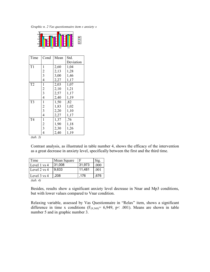Graphic n. 2 Vas questionnaire item « anxiety »



| Time           | Cond                                       | Mean | Std.      |
|----------------|--------------------------------------------|------|-----------|
|                |                                            |      | Deviation |
| T1             | 1                                          | 2,60 | 1,04      |
|                | $\frac{2}{3}$                              | 2,13 | 1,28      |
|                |                                            | 3,00 | 1,46      |
|                | $\overline{4}$                             | 2,27 | 1,17      |
| T <sub>2</sub> | $\mathbf{1}$                               | 2,03 | 1,07      |
|                |                                            | 2,10 | 1,21      |
|                | $\begin{array}{c} 2 \\ 3 \\ 4 \end{array}$ | 2,57 | 1,17      |
|                |                                            | 2,40 | 1,19      |
| T <sub>3</sub> | $\mathbf{1}$                               | 1,50 | ,82       |
|                | $\frac{2}{3}$                              | 1,83 | 1,02      |
|                |                                            | 2,20 | 1,10      |
|                | $\overline{4}$                             | 2,27 | 1,17      |
| T <sub>4</sub> | $\mathbf{1}$                               | 1,37 | ,76       |
|                | $\begin{array}{c} 2 \\ 3 \\ 4 \end{array}$ | 1,90 | 1,18      |
|                |                                            | 2,30 | 1,26      |
|                |                                            | 2,40 | 1,19      |

 $(tab. 3)$ 

Contrast analysis, as illustrated in table number 4, shows the efficacy of the intervention as a great decrease in anxiety level, specifically between the first and the third time.

| Time         | Mean Square | F      | Sig. |
|--------------|-------------|--------|------|
| Level 1 vs 4 | 31,008      | 31,973 | .000 |
| Level 2 vs 4 | 9,633       | 11,481 | .001 |
| Level 3 vs 4 | .208        | .176   | ,676 |
| (tab. 4)     |             |        |      |

Besides, results show a significant anxiety level decrease in Nnar and Mp3 conditions, but with lower values compared to Vnar condition.

Relaxing variable, assessed by Vas Questionnaire in "Relax" item, shows a significant difference in time x conditions  $(F_{(9,348)}= 6,949, p< .001)$ . Means are shown in table number 5 and in graphic number 3.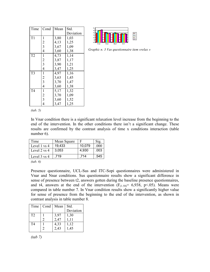| Time           | Cond                                       | Mean | Std.      |
|----------------|--------------------------------------------|------|-----------|
|                |                                            |      | Deviation |
| T1             | 1                                          | 3,80 | 1,03      |
|                |                                            | 4,13 | 1,25      |
|                | $\frac{2}{3}$                              | 3,67 | 1,09      |
|                | $\overline{4}$                             | 3,60 | 1,38      |
| T <sub>2</sub> | $\mathbf{1}$                               | 4,73 | 1,14      |
|                |                                            | 3,87 | 1,17      |
|                | $\frac{2}{3}$                              | 3,90 | 1,21      |
|                | $\overline{4}$                             | 3,47 | 1,25      |
| T <sub>3</sub> | $\mathbf{1}$                               | 4,97 | 1,16      |
|                | $\frac{2}{3}$                              | 3,63 | 1,45      |
|                |                                            | 3,70 | 1,47      |
|                | $\overline{4}$                             | 3,60 | 1,38      |
| T <sub>4</sub> | $\mathbf{1}$                               | 5,17 | 1,32      |
|                |                                            | 3,70 | 1,09      |
|                | $\begin{array}{c} 2 \\ 3 \\ 4 \end{array}$ | 3,60 | 1,52      |
|                |                                            | 3,47 | 1,25      |



Graphic n. 3 Vas questionnaire item «relax »

(tab. 5)

In Vnar condition there is a significant relaxation level increase from the beginning to the end of the intervention. In the other conditions there isn't a significant change. These results are confirmed by the contrast analysis of time x conditions interaction (table number 6).

| Time         | Mean Square | F      | Sig. |
|--------------|-------------|--------|------|
| Level 1 vs 4 | 19,433      | 10,079 | .000 |
| Level 2 vs 4 | 3.053       | 4,930  | .003 |
| Level 3 vs 4 | .719        | .714   | .545 |

(tab. 6)

Presence questionnaire, UCL-Sus and ITC-Sopi questionnaires were administered in Vnar and Nnar conditions. Sus questionnaire results show a significant difference in sense of presence between t2, answers gotten during the baseline presence questionnaires, and t4, answers at the end of the intervention  $(F<sub>(1.58)</sub> = 6,938, p<.05)$ . Means were compared in table number 7. In Vnar condition results show a significantly higher value for sense of presence from the beginning to the end of the intervention, as shown in contrast analysis in table number 8.

| Time | Cond | Mean             | Std.      |
|------|------|------------------|-----------|
|      |      |                  | Deviation |
| T2   |      | $3,97$<br>$2,47$ | 1,30      |
|      |      |                  | 1,11      |
| T4   |      | 4,33<br>2,43     | 1,12      |
|      |      |                  | 1,45      |

(tab 7)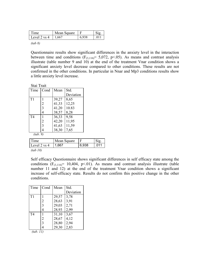| <sub>1</sub> me | Mean Square |       |  |
|-----------------|-------------|-------|--|
| Level 2 vs 4    | 1,667       | 6,938 |  |
|                 |             |       |  |

 $(tab 8)$ 

Questionnaire results show significant differences in the anxiety level in the interaction between time and conditions  $(F_{(3,116)} = 5,072, p<0.05)$ . As means and contrast analysis illustrate (table number 9 and 10) at the end of the treatment Vnar condition shows a significant anxiety level decrease compared to other conditions. These results are not confirmed in the other conditions. In particular in Nnar and Mp3 conditions results show a little anxiety level increase.

Stai Trait

| Time           | Cond | Mean  | Std.      |  |
|----------------|------|-------|-----------|--|
|                |      |       | Deviation |  |
| T <sub>1</sub> |      | 39,27 | 8,65      |  |
|                | 2    | 41,33 | 12,25     |  |
|                | 3    | 41,20 | 10.83     |  |
|                | 4    | 38,57 | 8,28      |  |
| T4             |      | 36,33 | 9,58      |  |
|                | 2    | 42,20 | 11,95     |  |
|                | 3    | 41,63 | 11,59     |  |
|                | 4    | 38,30 | 7,65      |  |
| (tab. 9)       |      |       |           |  |
|                |      |       |           |  |

| Time         | Mean Square |       |      |
|--------------|-------------|-------|------|
| Level 2 vs 4 | 1.667       | 6,938 | .011 |
| (tab 10)     |             |       |      |

Self efficacy Questionnaire shows significant differences in self efficacy state among the conditions  $(F_{(3,116)} = 10,404, p<0.01)$ . As means and contrast analysis illustrate (table number 11 and 12) at the end of the treatment Vnar condition shows a significant increase of self-efficacy state. Results do not confirm this positive change in the other conditions.

| Time           | Cond | Mean  | Std.      |
|----------------|------|-------|-----------|
|                |      |       | Deviation |
| T <sub>1</sub> |      | 29,57 | 3,78      |
|                | 2    | 28,63 | 3,91      |
|                | 3    | 29,03 | 2,71      |
|                | 4    | 28,93 | 2,99      |
| T <sub>4</sub> |      | 31,10 | 3,67      |
|                | 2    | 28,67 | 4,12      |
|                | 3    | 28,80 | 2,94      |
|                |      | 29,30 | 2,83      |

 $(tab. 11)$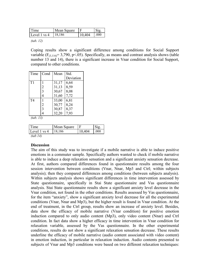|                        | Mean Square |                |
|------------------------|-------------|----------------|
| Level 1 vs 4<br>18,186 |             | 10,404<br>.000 |

(tab. 12)

Coping results show a significant difference among conditions for Social Support variable ( $F_{(3,116)}$ = 3,790, p<.05). Specifically, as means and contrast analysis shows (table number 13 and 14), there is a significant increase in Vnar condition for Social Support, compared to other conditions.

| Time           | Cond           | Mean  | Std.      |  |
|----------------|----------------|-------|-----------|--|
|                |                |       | Deviation |  |
| T <sub>1</sub> |                | 31,17 | 6,64      |  |
|                | $\overline{2}$ | 31,13 | 8,59      |  |
|                | 3              | 30,67 | 8,08      |  |
|                |                | 31,60 | 7,72      |  |
| T <sub>4</sub> |                | 33,00 | 6,81      |  |
|                | $\overline{2}$ | 30,77 | 8,24      |  |
|                | 3              | 30,87 | 8,37      |  |
|                |                | 32,20 | 7.93      |  |

(tab. 13)

| Time         | Mean Square |        | $\mathrm{Sig}$ |
|--------------|-------------|--------|----------------|
| Level 1 vs 4 | 18,186      | 10,404 | .000           |
| (tab 14)     |             |        |                |

#### **Discussion**

The aim of this study was to investigate if a mobile narrative is able to induce positive emotions in a commuter sample. Specifically authors wanted to check if mobile narrative is able to induce a deep relaxation sensation and a significant anxiety sensation decrease. At first, authors compared differences found in questionnaire results among the four session intervention between conditions (Vnar, Nnar, Mp3 and Ctrl; within subjects analysis); then they compared differences among conditions (between subjects analysis). Within subjects analysis shows significant differences in time intervention assessed by State questionnaire, specifically in Stai State questionnaire and Vas questionnaire analysis. Stai State questionnaire results show a significant anxiety level decrease in the Vnar condition, not found in the other conditions. Results assessed by Vas questionnaire, for the item "anxiety", show a significant anxiety level decrease for all the experimental conditions (Vnar, Nnar and Mp3), but the higher result is found in Vnar condition. At the end of treatment, in the Ctrl group, results show an increase of anxiety level. Besides, data show the efficacy of mobile narrative (Vnar condition) for positive emotion induction compared to only audio content (Mp3), only video content (Nnar) and Ctrl condition. In fact data show a higher efficacy in time intervention in Vnar condition for relaxation variable, assessed by the Vas questionnaire. In the other experimental conditions, results do not show a significant relaxation sensation decrease. These results underline the efficacy of mobile narrative (audio content associated with video content) in emotion induction, in particular in relaxation induction. Audio contents presented to subjects of Vnar and Mp3 conditions were based on two different relaxation techniques: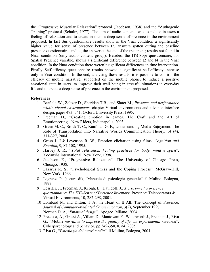the "Progressive Muscular Relaxation" protocol (Jacobson, 1938) and the "Authogenic Training" protocol (Schultz, 1977). The aim of audio contents was to induce in users a feeling of relaxation and to create in them a deep sense of presence in the environment proposed. In fact Sus questionnaire results show in the Vnar condition a significantly higher value for sense of presence between t2, answers gotten during the baseline presence questionnaire, and t4, the answer at the end of the treatment; results not found in Nnar condition (only audio content group). Besides, the ITS-Sopi questionnaire, for Spatial Presence variable, shows a significant difference between t2 and t4 in the Vnar condition. In the Nnar condition there weren't significant differences in time intervention. Finally Self-efficacy questionnaire results showed a significant self-efficacy increase only in Vnar condition. In the end, analysing these results, it is possible to confirm the efficacy of mobile narrative, supported on the mobile phone, to induce a positive emotional state in users, to improve their well being in stressful situations in everyday life and to create a deep sense of presence in the environment proposed.

#### **References**

- 1 Barfield W., Zeltzer D., Sheridan T.B., and Slater M., Presence and performance within virtual environments, chapter Virtual environments and advance interface design, pages 473–541. Oxford University Press, 1995.
- 2 Freeman D., "Creating emotion in games. The Craft and the Art of Emotioneering", New Riders, Indianapolis, 2003.
- 3 Green M. C., Brock T. C., Kaufman G. F., Understanding Media Enjoyment: The Role of Transportation Into Narrative Worlds Communication Theory, 14 (4), 311-327, 2004.
- 4 Gross J. J.& Levenson R. W., Emotion elicitation using films. Cognition and Emotion, 9, 87-108, 1995.
- 5 Harvey J. R., "Total relaxation, healing practices for body, mind e spirit", Kodansha international, New York, 1998.
- 6 Jacobson E., "Progressive Relaxation", The University of Chicago Press, Chicago, 1938.
- 7 Lazarus R. S., "Psychological Stress and the Coping Process", McGraw-Hill, New York, 1966.
- 8 Legrenzi P. (a cura di), "Manuale di psicologia generale", il Mulino, Bologna, 1997.
- 9 Lessiter, J., Freeman, J., Keogh, E., Davidoff, J., A cross-media presence questionnaire: The ITC-Sense of Presence Inventory. Presence: Teleoperators & Virtual Environments, 10, 282-298, 2001.
- 10 Lombard M. and Ditton. T At the Heart of It All: The Concept of Presence. Journal of Computer-Mediated Communication, 3(2), September 1997.
- 11 Norman D. A, "Emotinal design", Apogeo, Milano, 2004.
- 12 Preziosa, A., Grassi A., Villani D., Mantovani F., Waterworth J., Freeman J., Riva G., "Mobile narrative to improbe the quality of life: an experimental research", Cyberpsychology and behavior, pp 349-350, 8, n4, 2005.
- 13 Riva G., "Psicologia dei nuovi media", il Mulino, Bologna, 2004.